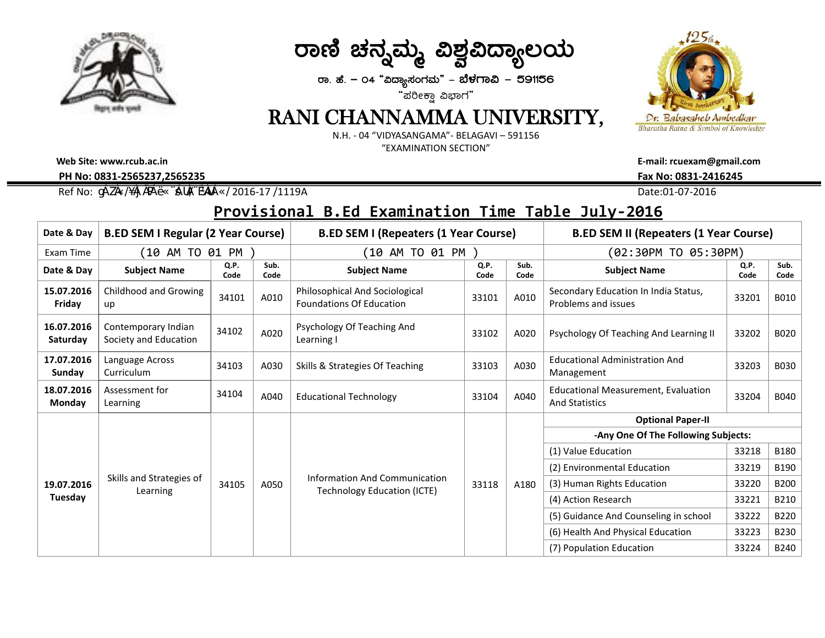

ರಾಣಿ ಚನ್ನಮ್ಮ ವಿಶ್<u>ವ</u>ವಿದ್ಯಾಲಯ

**gÁ. ºÉ. – 04 "«zÁå¸ÀAUÀªÀÄ" - ¨É¼ÀUÁ« - 591156** "ಪರೀಕ್ಷಾ ವಿಭಾಗ"

## RANI CHANNAMMA UNIVERSITY,

N.H. - 04 "VIDYASANGAMA"- BELAGAVI – 591156 "EXAMINATION SECTION"

**Web Site: www.rcub.ac.in E-mail: rcuexam@gmail.com PH No: 0831-2565237,2565235 Fax No: 0831-2416245**

Ref No:  $\frac{0}{4}$  Alexander 2016 ( $\frac{0}{4}$  and  $\frac{0}{4}$   $\frac{0}{4}$   $\frac{0}{4}$   $\frac{0}{4}$   $\frac{0}{4}$   $\frac{0}{4}$   $\frac{0}{4}$   $\frac{0}{4}$   $\frac{0}{4}$   $\frac{0}{4}$   $\frac{0}{4}$   $\frac{0}{4}$   $\frac{0}{4}$   $\frac{0}{4}$   $\frac{0}{4}$   $\frac{0}{4}$   $\frac{0}{4}$   $\frac{$ 

## **Provisional B.Ed Examination Time Table July-2016**

| Date & Day                  | <b>B.ED SEM I Regular (2 Year Course)</b>    |              |              | <b>B.ED SEM I (Repeaters (1 Year Course)</b>                        |              |              | <b>B.ED SEM II (Repeaters (1 Year Course)</b>                       |              |              |
|-----------------------------|----------------------------------------------|--------------|--------------|---------------------------------------------------------------------|--------------|--------------|---------------------------------------------------------------------|--------------|--------------|
| Exam Time                   | (10 AM TO 01 PM )                            |              |              | (10 AM TO 01 PM )                                                   |              |              | (02:30PM TO 05:30PM)                                                |              |              |
| Date & Day                  | <b>Subject Name</b>                          | Q.P.<br>Code | Sub.<br>Code | <b>Subject Name</b>                                                 | Q.P.<br>Code | Sub.<br>Code | <b>Subject Name</b>                                                 | Q.P.<br>Code | Sub.<br>Code |
| 15.07.2016<br>Friday        | Childhood and Growing<br>up                  | 34101        | A010         | Philosophical And Sociological<br><b>Foundations Of Education</b>   | 33101        | A010         | Secondary Education In India Status,<br>Problems and issues         | 33201        | <b>B010</b>  |
| 16.07.2016<br>Saturday      | Contemporary Indian<br>Society and Education | 34102        | A020         | Psychology Of Teaching And<br>Learning I                            | 33102        | A020         | Psychology Of Teaching And Learning II                              | 33202        | <b>B020</b>  |
| 17.07.2016<br>Sunday        | Language Across<br>Curriculum                | 34103        | A030         | Skills & Strategies Of Teaching                                     | 33103        | A030         | Educational Administration And<br>Management                        | 33203        | <b>B030</b>  |
| 18.07.2016<br><b>Monday</b> | Assessment for<br>Learning                   | 34104        | A040         | <b>Educational Technology</b>                                       | 33104        | A040         | <b>Educational Measurement, Evaluation</b><br><b>And Statistics</b> | 33204        | B040         |
|                             | Skills and Strategies of<br>Learning         | 34105        | A050         | Information And Communication<br><b>Technology Education (ICTE)</b> | 33118        | A180         | <b>Optional Paper-II</b>                                            |              |              |
| 19.07.2016<br>Tuesday       |                                              |              |              |                                                                     |              |              | -Any One Of The Following Subjects:                                 |              |              |
|                             |                                              |              |              |                                                                     |              |              | (1) Value Education                                                 | 33218        | <b>B180</b>  |
|                             |                                              |              |              |                                                                     |              |              | (2) Environmental Education                                         | 33219        | B190         |
|                             |                                              |              |              |                                                                     |              |              | (3) Human Rights Education                                          | 33220        | <b>B200</b>  |
|                             |                                              |              |              |                                                                     |              |              | (4) Action Research                                                 | 33221        | B210         |
|                             |                                              |              |              |                                                                     |              |              | (5) Guidance And Counseling in school                               | 33222        | B220         |
|                             |                                              |              |              |                                                                     |              |              | (6) Health And Physical Education                                   | 33223        | <b>B230</b>  |
|                             |                                              |              |              |                                                                     |              |              | (7) Population Education                                            | 33224        | <b>B240</b>  |